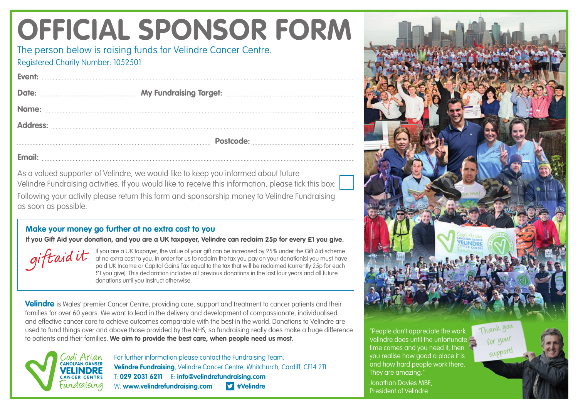## **OFFICIAL SPONSOR FORM**

The person below is raising funds for Velindre Cancer Centre. Registered Charity Number: 1052501

**Email:**

**Event:**

As a valued supporter of Velindre, we would like to keep you informed about future Velindre Fundraising activities. If you would like to receive this information, please tick this box: Following your activity please return this form and sponsorship money to Velindre Fundraising as soon as possible.

## **Make your money go further at no extra cost to you**

**If you Gift Aid your donation, and you are a UK taxpayer, Velindre can reclaim 25p for every £1 you give.**

giftaidit If you are a UK taxpayer, the value of your gift can be increased by 25% under the Gift Aid scheme at no extra cost to you. In order for us to reclaim the tax you pay on your donation(s) you must have paid UK Income or Capital Gains Tax equal to the tax that will be reclaimed (currently 25p for each £1 you give). This declaration includes all previous donations in the last four years and all future donations until you instruct otherwise.

**Velindre** is Wales' premier Cancer Centre, providing care, support and treatment to cancer patients and their families for over 60 years. We want to lead in the delivery and development of compassionate, individualised and effective cancer care to achieve outcomes comparable with the best in the world. Donations to Velindre are used to fund things over and above those provided by the NHS, so fundraising really does make a huge difference to patients and their families. **We aim to provide the best care, when people need us most.** 



For further information please contact the Fundraising Team: **Velindre Fundraising**, Velindre Cancer Centre, Whitchurch, Cardiff, CF14 2TL T: **029 2031 6211** E: **info@velindrefundraising.com** W: www.velindrefundraising.com **#Velindre** 

"People don't appreciate the work Velindre does until the unfortunate time comes and you need it, then you realise how good a place it is and how hard people work there. They are amazing."

Jonathan Davies MBE, President of Velindre



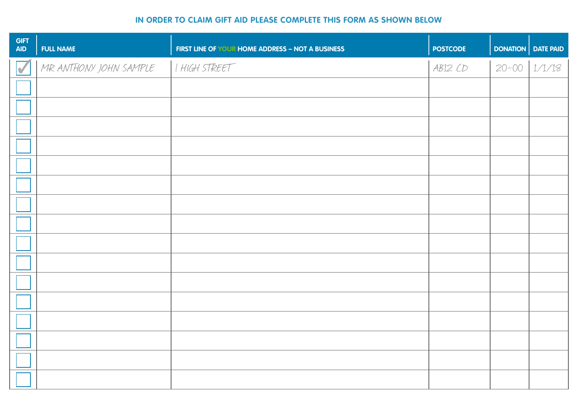## **IN ORDER TO CLAIM GIFT AID PLEASE COMPLETE THIS FORM AS SHOWN BELOW**

| <b>GIFT</b><br><b>AID</b> | <b>FULL NAME</b>       | FIRST LINE OF YOUR HOME ADDRESS - NOT A BUSINESS | <b>POSTCODE</b> | <b>DONATION DATE PAID</b> |  |
|---------------------------|------------------------|--------------------------------------------------|-----------------|---------------------------|--|
| $\overline{\nu}$          | MR ANTHONY JOHN SAMPLE | I HIGH STREET                                    | AB12CD          | $20 - 00$ $1/1/18$        |  |
|                           |                        |                                                  |                 |                           |  |
|                           |                        |                                                  |                 |                           |  |
|                           |                        |                                                  |                 |                           |  |
|                           |                        |                                                  |                 |                           |  |
|                           |                        |                                                  |                 |                           |  |
|                           |                        |                                                  |                 |                           |  |
|                           |                        |                                                  |                 |                           |  |
|                           |                        |                                                  |                 |                           |  |
|                           |                        |                                                  |                 |                           |  |
|                           |                        |                                                  |                 |                           |  |
|                           |                        |                                                  |                 |                           |  |
|                           |                        |                                                  |                 |                           |  |
|                           |                        |                                                  |                 |                           |  |
|                           |                        |                                                  |                 |                           |  |
|                           |                        |                                                  |                 |                           |  |
|                           |                        |                                                  |                 |                           |  |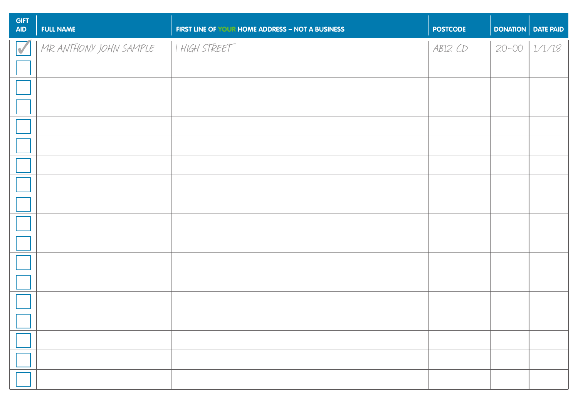| <b>GIFT</b><br><b>AID</b> | <b>FULL NAME</b>       | FIRST LINE OF YOUR HOME ADDRESS - NOT A BUSINESS | <b>POSTCODE</b> | DONATION DATE PAID |  |
|---------------------------|------------------------|--------------------------------------------------|-----------------|--------------------|--|
| $\overline{\textbf{v}}$   | MR ANTHONY JOHN SAMPLE | I HIGH STREET                                    | AB12CD          | $20 - 00$ $1/1/18$ |  |
|                           |                        |                                                  |                 |                    |  |
|                           |                        |                                                  |                 |                    |  |
|                           |                        |                                                  |                 |                    |  |
|                           |                        |                                                  |                 |                    |  |
|                           |                        |                                                  |                 |                    |  |
|                           |                        |                                                  |                 |                    |  |
|                           |                        |                                                  |                 |                    |  |
|                           |                        |                                                  |                 |                    |  |
|                           |                        |                                                  |                 |                    |  |
|                           |                        |                                                  |                 |                    |  |
|                           |                        |                                                  |                 |                    |  |
|                           |                        |                                                  |                 |                    |  |
|                           |                        |                                                  |                 |                    |  |
|                           |                        |                                                  |                 |                    |  |
|                           |                        |                                                  |                 |                    |  |
|                           |                        |                                                  |                 |                    |  |
|                           |                        |                                                  |                 |                    |  |